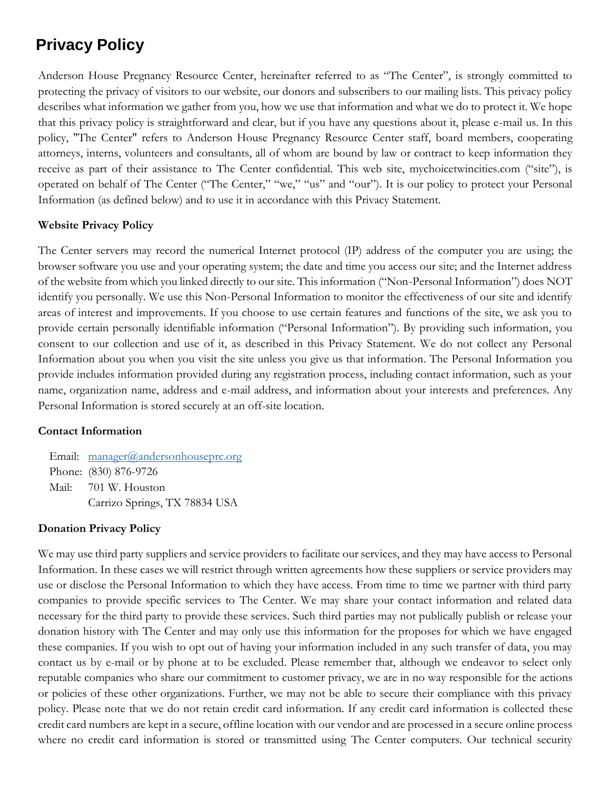# **Privacy Policy**

Anderson House Pregnancy Resource Center, hereinafter referred to as "The Center", is strongly committed to protecting the privacy of visitors to our website, our donors and subscribers to our mailing lists. This privacy policy describes what information we gather from you, how we use that information and what we do to protect it. We hope that this privacy policy is straightforward and clear, but if you have any questions about it, please e-mail us. In this policy, "The Center" refers to Anderson House Pregnancy Resource Center staff, board members, cooperating attorneys, interns, volunteers and consultants, all of whom are bound by law or contract to keep information they receive as part of their assistance to The Center confidential. This web site, mychoicetwincities.com ("site"), is operated on behalf of The Center ("The Center," "we," "us" and "our"). It is our policy to protect your Personal Information (as defined below) and to use it in accordance with this Privacy Statement.

## **Website Privacy Policy**

The Center servers may record the numerical Internet protocol (IP) address of the computer you are using; the browser software you use and your operating system; the date and time you access our site; and the Internet address of the website from which you linked directly to our site. This information ("Non-Personal Information") does NOT identify you personally. We use this Non-Personal Information to monitor the effectiveness of our site and identify areas of interest and improvements. If you choose to use certain features and functions of the site, we ask you to provide certain personally identifiable information ("Personal Information"). By providing such information, you consent to our collection and use of it, as described in this Privacy Statement. We do not collect any Personal Information about you when you visit the site unless you give us that information. The Personal Information you provide includes information provided during any registration process, including contact information, such as your name, organization name, address and e-mail address, and information about your interests and preferences. Any Personal Information is stored securely at an off-site location.

## **Contact Information**

Email: [manager@andersonhouseprc.org](mailto:manager@andersonhouseprc.org) Phone: (830) 876-9726 Mail: 701 W. Houston Carrizo Springs, TX 78834 USA

# **Donation Privacy Policy**

We may use third party suppliers and service providers to facilitate our services, and they may have access to Personal Information. In these cases we will restrict through written agreements how these suppliers or service providers may use or disclose the Personal Information to which they have access. From time to time we partner with third party companies to provide specific services to The Center. We may share your contact information and related data necessary for the third party to provide these services. Such third parties may not publically publish or release your donation history with The Center and may only use this information for the proposes for which we have engaged these companies. If you wish to opt out of having your information included in any such transfer of data, you may contact us by e-mail or by phone at to be excluded. Please remember that, although we endeavor to select only reputable companies who share our commitment to customer privacy, we are in no way responsible for the actions or policies of these other organizations. Further, we may not be able to secure their compliance with this privacy policy. Please note that we do not retain credit card information. If any credit card information is collected these credit card numbers are kept in a secure, offline location with our vendor and are processed in a secure online process where no credit card information is stored or transmitted using The Center computers. Our technical security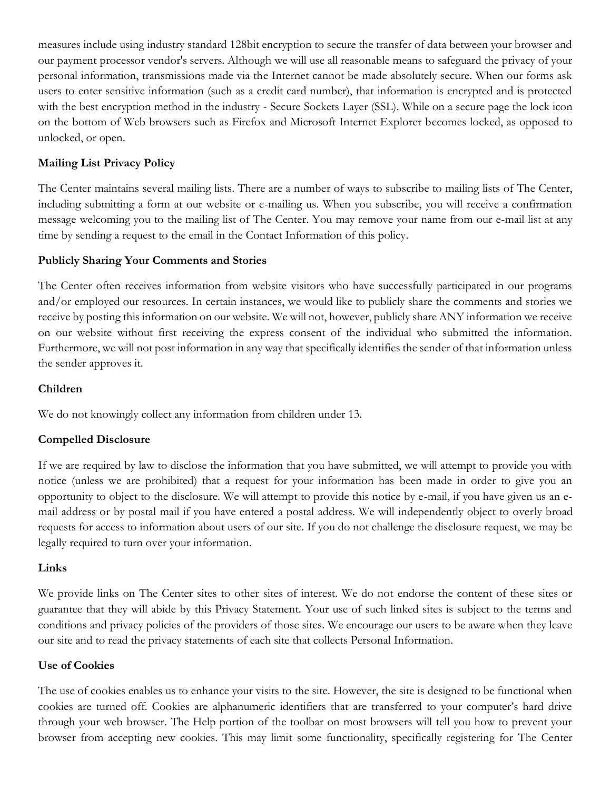measures include using industry standard 128bit encryption to secure the transfer of data between your browser and our payment processor vendor's servers. Although we will use all reasonable means to safeguard the privacy of your personal information, transmissions made via the Internet cannot be made absolutely secure. When our forms ask users to enter sensitive information (such as a credit card number), that information is encrypted and is protected with the best encryption method in the industry - Secure Sockets Layer (SSL). While on a secure page the lock icon on the bottom of Web browsers such as Firefox and Microsoft Internet Explorer becomes locked, as opposed to unlocked, or open.

## **Mailing List Privacy Policy**

The Center maintains several mailing lists. There are a number of ways to subscribe to mailing lists of The Center, including submitting a form at our website or e-mailing us. When you subscribe, you will receive a confirmation message welcoming you to the mailing list of The Center. You may remove your name from our e-mail list at any time by sending a request to the email in the Contact Information of this policy.

## **Publicly Sharing Your Comments and Stories**

The Center often receives information from website visitors who have successfully participated in our programs and/or employed our resources. In certain instances, we would like to publicly share the comments and stories we receive by posting this information on our website. We will not, however, publicly share ANY information we receive on our website without first receiving the express consent of the individual who submitted the information. Furthermore, we will not post information in any way that specifically identifies the sender of that information unless the sender approves it.

#### **Children**

We do not knowingly collect any information from children under 13.

## **Compelled Disclosure**

If we are required by law to disclose the information that you have submitted, we will attempt to provide you with notice (unless we are prohibited) that a request for your information has been made in order to give you an opportunity to object to the disclosure. We will attempt to provide this notice by e-mail, if you have given us an email address or by postal mail if you have entered a postal address. We will independently object to overly broad requests for access to information about users of our site. If you do not challenge the disclosure request, we may be legally required to turn over your information.

## **Links**

We provide links on The Center sites to other sites of interest. We do not endorse the content of these sites or guarantee that they will abide by this Privacy Statement. Your use of such linked sites is subject to the terms and conditions and privacy policies of the providers of those sites. We encourage our users to be aware when they leave our site and to read the privacy statements of each site that collects Personal Information.

## **Use of Cookies**

The use of cookies enables us to enhance your visits to the site. However, the site is designed to be functional when cookies are turned off. Cookies are alphanumeric identifiers that are transferred to your computer's hard drive through your web browser. The Help portion of the toolbar on most browsers will tell you how to prevent your browser from accepting new cookies. This may limit some functionality, specifically registering for The Center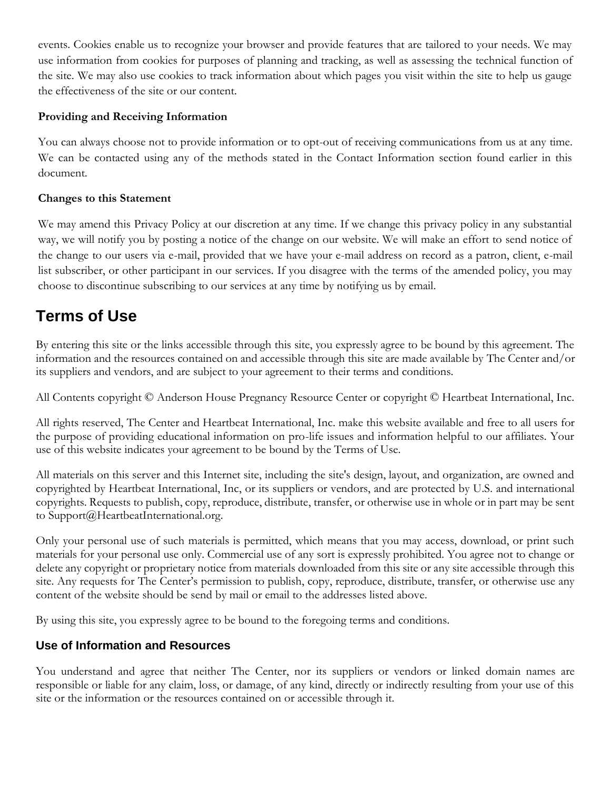events. Cookies enable us to recognize your browser and provide features that are tailored to your needs. We may use information from cookies for purposes of planning and tracking, as well as assessing the technical function of the site. We may also use cookies to track information about which pages you visit within the site to help us gauge the effectiveness of the site or our content.

## **Providing and Receiving Information**

You can always choose not to provide information or to opt-out of receiving communications from us at any time. We can be contacted using any of the methods stated in the Contact Information section found earlier in this document.

## **Changes to this Statement**

We may amend this Privacy Policy at our discretion at any time. If we change this privacy policy in any substantial way, we will notify you by posting a notice of the change on our website. We will make an effort to send notice of the change to our users via e-mail, provided that we have your e-mail address on record as a patron, client, e-mail list subscriber, or other participant in our services. If you disagree with the terms of the amended policy, you may choose to discontinue subscribing to our services at any time by notifying us by email.

# **Terms of Use**

By entering this site or the links accessible through this site, you expressly agree to be bound by this agreement. The information and the resources contained on and accessible through this site are made available by The Center and/or its suppliers and vendors, and are subject to your agreement to their terms and conditions.

All Contents copyright © Anderson House Pregnancy Resource Center or copyright © Heartbeat International, Inc.

All rights reserved, The Center and Heartbeat International, Inc. make this website available and free to all users for the purpose of providing educational information on pro-life issues and information helpful to our affiliates. Your use of this website indicates your agreement to be bound by the Terms of Use.

All materials on this server and this Internet site, including the site's design, layout, and organization, are owned and copyrighted by Heartbeat International, Inc, or its suppliers or vendors, and are protected by U.S. and international copyrights. Requests to publish, copy, reproduce, distribute, transfer, or otherwise use in whole or in part may be sent to Support@HeartbeatInternational.org.

Only your personal use of such materials is permitted, which means that you may access, download, or print such materials for your personal use only. Commercial use of any sort is expressly prohibited. You agree not to change or delete any copyright or proprietary notice from materials downloaded from this site or any site accessible through this site. Any requests for The Center's permission to publish, copy, reproduce, distribute, transfer, or otherwise use any content of the website should be send by mail or email to the addresses listed above.

By using this site, you expressly agree to be bound to the foregoing terms and conditions.

# **Use of Information and Resources**

You understand and agree that neither The Center, nor its suppliers or vendors or linked domain names are responsible or liable for any claim, loss, or damage, of any kind, directly or indirectly resulting from your use of this site or the information or the resources contained on or accessible through it.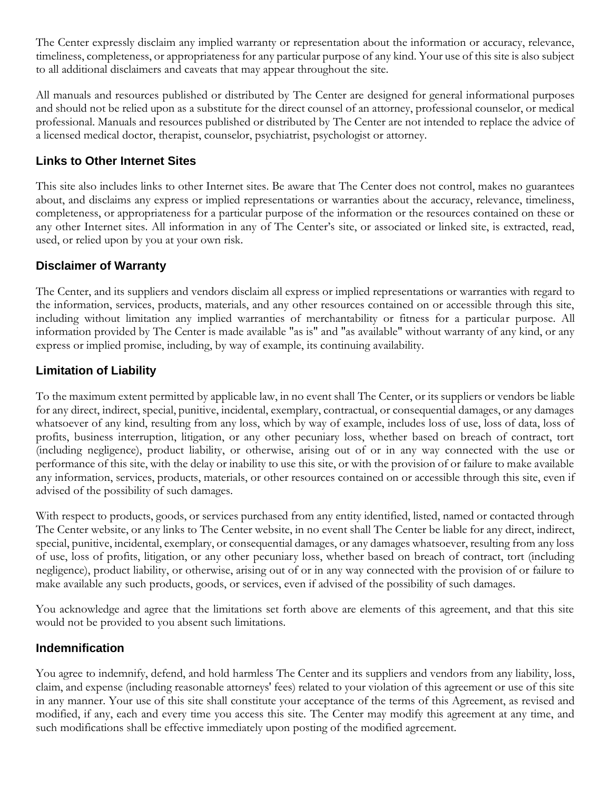The Center expressly disclaim any implied warranty or representation about the information or accuracy, relevance, timeliness, completeness, or appropriateness for any particular purpose of any kind. Your use of this site is also subject to all additional disclaimers and caveats that may appear throughout the site.

All manuals and resources published or distributed by The Center are designed for general informational purposes and should not be relied upon as a substitute for the direct counsel of an attorney, professional counselor, or medical professional. Manuals and resources published or distributed by The Center are not intended to replace the advice of a licensed medical doctor, therapist, counselor, psychiatrist, psychologist or attorney.

# **Links to Other Internet Sites**

This site also includes links to other Internet sites. Be aware that The Center does not control, makes no guarantees about, and disclaims any express or implied representations or warranties about the accuracy, relevance, timeliness, completeness, or appropriateness for a particular purpose of the information or the resources contained on these or any other Internet sites. All information in any of The Center's site, or associated or linked site, is extracted, read, used, or relied upon by you at your own risk.

# **Disclaimer of Warranty**

The Center, and its suppliers and vendors disclaim all express or implied representations or warranties with regard to the information, services, products, materials, and any other resources contained on or accessible through this site, including without limitation any implied warranties of merchantability or fitness for a particular purpose. All information provided by The Center is made available "as is" and "as available" without warranty of any kind, or any express or implied promise, including, by way of example, its continuing availability.

# **Limitation of Liability**

To the maximum extent permitted by applicable law, in no event shall The Center, or its suppliers or vendors be liable for any direct, indirect, special, punitive, incidental, exemplary, contractual, or consequential damages, or any damages whatsoever of any kind, resulting from any loss, which by way of example, includes loss of use, loss of data, loss of profits, business interruption, litigation, or any other pecuniary loss, whether based on breach of contract, tort (including negligence), product liability, or otherwise, arising out of or in any way connected with the use or performance of this site, with the delay or inability to use this site, or with the provision of or failure to make available any information, services, products, materials, or other resources contained on or accessible through this site, even if advised of the possibility of such damages.

With respect to products, goods, or services purchased from any entity identified, listed, named or contacted through The Center website, or any links to The Center website, in no event shall The Center be liable for any direct, indirect, special, punitive, incidental, exemplary, or consequential damages, or any damages whatsoever, resulting from any loss of use, loss of profits, litigation, or any other pecuniary loss, whether based on breach of contract, tort (including negligence), product liability, or otherwise, arising out of or in any way connected with the provision of or failure to make available any such products, goods, or services, even if advised of the possibility of such damages.

You acknowledge and agree that the limitations set forth above are elements of this agreement, and that this site would not be provided to you absent such limitations.

# **Indemnification**

You agree to indemnify, defend, and hold harmless The Center and its suppliers and vendors from any liability, loss, claim, and expense (including reasonable attorneys' fees) related to your violation of this agreement or use of this site in any manner. Your use of this site shall constitute your acceptance of the terms of this Agreement, as revised and modified, if any, each and every time you access this site. The Center may modify this agreement at any time, and such modifications shall be effective immediately upon posting of the modified agreement.